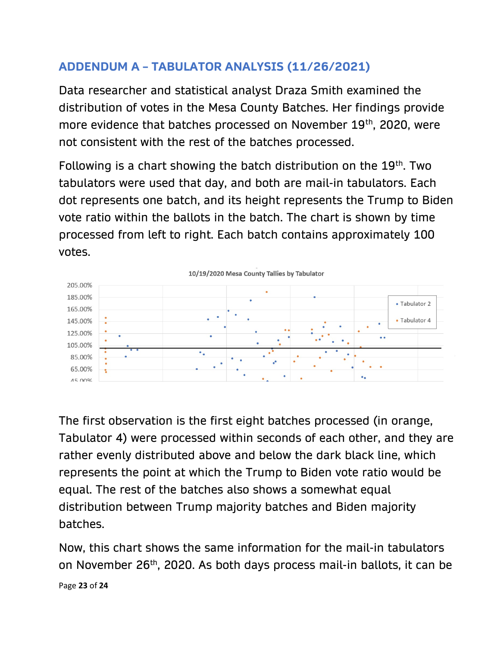## ADDENDUM A – TABULATOR ANALYSIS (11/26/2021)

Data researcher and statistical analyst Draza Smith examined the distribution of votes in the Mesa County Batches. Her findings provide more evidence that batches processed on November 19th, 2020, were not consistent with the rest of the batches processed.

Following is a chart showing the batch distribution on the 19th. Two tabulators were used that day, and both are mail-in tabulators. Each dot represents one batch, and its height represents the Trump to Biden vote ratio within the ballots in the batch. The chart is shown by time processed from left to right. Each batch contains approximately 100 votes.



The first observation is the first eight batches processed (in orange, Tabulator 4) were processed within seconds of each other, and they are rather evenly distributed above and below the dark black line, which represents the point at which the Trump to Biden vote ratio would be equal. The rest of the batches also shows a somewhat equal distribution between Trump majority batches and Biden majority batches.

Now, this chart shows the same information for the mail-in tabulators on November 26th, 2020. As both days process mail-in ballots, it can be